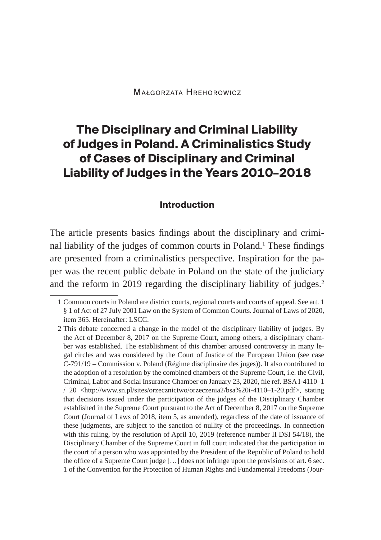# **The Disciplinary and Criminal Liability of Judges in Poland. A Criminalistics Study of Cases of Disciplinary and Criminal Liability of Judges in the Years 2010–2018**

#### **Introduction**

The article presents basics findings about the disciplinary and criminal liability of the judges of common courts in Poland.<sup>1</sup> These findings are presented from a criminalistics perspective. Inspiration for the paper was the recent public debate in Poland on the state of the judiciary and the reform in 2019 regarding the disciplinary liability of judges.<sup>2</sup>

<sup>1</sup> Common courts in Poland are district courts, regional courts and courts of appeal. See art. 1 § 1 of Act of 27 July 2001 Law on the System of Common Courts. Journal of Laws of 2020, item 365. Hereinafter: LSCC.

<sup>2</sup> This debate concerned a change in the model of the disciplinary liability of judges. By the Act of December 8, 2017 on the Supreme Court, among others, a disciplinary chamber was established. The establishment of this chamber aroused controversy in many legal circles and was considered by the Court of Justice of the European Union (see case C-791/19 – Commission v. Poland (Régime disciplinaire des juges)). It also contributed to the adoption of a resolution by the combined chambers of the Supreme Court, i.e. the Civil, Criminal, Labor and Social Insurance Chamber on January 23, 2020, file ref. BSA I-4110–1 / 20 <http://www.sn.pl/sites/orzecznictwo/orzeczenia2/bsa%20i-4110-1-20.pdf>, stating that decisions issued under the participation of the judges of the Disciplinary Chamber established in the Supreme Court pursuant to the Act of December 8, 2017 on the Supreme Court (Journal of Laws of 2018, item 5, as amended), regardless of the date of issuance of these judgments, are subject to the sanction of nullity of the proceedings. In connection with this ruling, by the resolution of April 10, 2019 (reference number II DSI 54/18), the Disciplinary Chamber of the Supreme Court in full court indicated that the participation in the court of a person who was appointed by the President of the Republic of Poland to hold the office of a Supreme Court judge […] does not infringe upon the provisions of art. 6 sec. 1 of the Convention for the Protection of Human Rights and Fundamental Freedoms (Jour-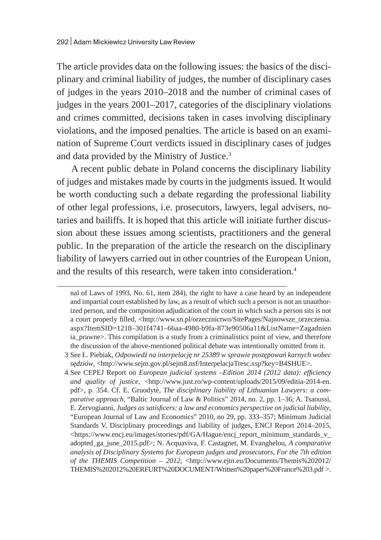The article provides data on the following issues: the basics of the disciplinary and criminal liability of judges, the number of disciplinary cases of judges in the years 2010–2018 and the number of criminal cases of judges in the years 2001–2017, categories of the disciplinary violations and crimes committed, decisions taken in cases involving disciplinary violations, and the imposed penalties. The article is based on an examination of Supreme Court verdicts issued in disciplinary cases of judges and data provided by the Ministry of Justice.3

A recent public debate in Poland concerns the disciplinary liability of judges and mistakes made by courts in the judgments issued. It would be worth conducting such a debate regarding the professional liability of other legal professions, i.e. prosecutors, lawyers, legal advisers, notaries and bailiffs. It is hoped that this article will initiate further discussion about these issues among scientists, practitioners and the general public. In the preparation of the article the research on the disciplinary liability of lawyers carried out in other countries of the European Union, and the results of this research, were taken into consideration.<sup>4</sup>

nal of Laws of 1993, No. 61, item 284), the right to have a case heard by an independent and impartial court established by law, as a result of which such a person is not an unauthorized person, and the composition adjudication of the court in which such a person sits is not a court properly filled, <http://www.sn.pl/orzecznictwo/SitePages/Najnowsze\_orzeczenia. aspx?ItemSID=1218–301f4741–66aa-4980-b9fa-873e90506a11&ListName=Zagadnien ia\_prawne>. This compilation is a study from a criminalistics point of view, and therefore the discussion of the above-mentioned political debate was intentionally omitted from it.

<sup>3</sup> See Ł. Piebiak, *Odpowiedź na interpelację nr 25389 w sprawie postępowań karnych wobec sędziów*, <http://www.sejm.gov.pl/sejm8.nsf/InterpelacjaTresc.xsp?key=B4SHUE>.

<sup>4</sup> See CEPEJ Report on *European judicial systems –Edition 2014 (2012 data): efficiency and quality of justice*, <http://www.just.ro/wp-content/uploads/2015/09/editia-2014-en. pdf>, p. 354. Cf. E. Gruodytè, *The disciplinary liability of Lithuanian Lawyers: a comparative approach*, "Baltic Journal of Law & Politics" 2014, no. 2, pp. 1–36; A. Tsaoussi, E. Zervogianni, *Judges as satisficers: a law and economics perspective on judicial liability*, "European Journal of Law and Economics" 2010, no 29, pp. 333–357; Minimum Judicial Standards V, Disciplinary proceedings and liability of judges, ENCJ Report 2014–2015, <https://www.encj.eu/images/stories/pdf/GA/Hague/encj\_report\_minimum\_standards\_v\_ adopted\_ga\_june\_2015.pdf>; N. Acquaviva, F. Castagnet, M. Evanghelou, *A comparative analysis of Disciplinary Systems for European judges and prosecutors, For the 7th edition of the THEMIS Competition – 2012*, <http://www.ejtn.eu/Documents/Themis%202012/ THEMIS%202012%20ERFURT%20DOCUMENT/Written%20paper%20France%203.pdf >.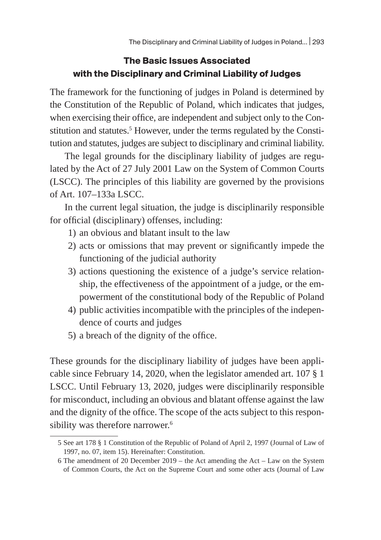## **The Basic Issues Associated with the Disciplinary and Criminal Liability of Judges**

The framework for the functioning of judges in Poland is determined by the Constitution of the Republic of Poland, which indicates that judges, when exercising their office, are independent and subject only to the Constitution and statutes.5 However, under the terms regulated by the Constitution and statutes, judges are subject to disciplinary and criminal liability.

The legal grounds for the disciplinary liability of judges are regulated by the Act of 27 July 2001 Law on the System of Common Courts (LSCC). The principles of this liability are governed by the provisions of Art. 107–133a LSCC.

In the current legal situation, the judge is disciplinarily responsible for official (disciplinary) offenses, including:

- 1) an obvious and blatant insult to the law
- 2) acts or omissions that may prevent or significantly impede the functioning of the judicial authority
- 3) actions questioning the existence of a judge's service relationship, the effectiveness of the appointment of a judge, or the empowerment of the constitutional body of the Republic of Poland
- 4) public activities incompatible with the principles of the independence of courts and judges
- 5) a breach of the dignity of the office.

These grounds for the disciplinary liability of judges have been applicable since February 14, 2020, when the legislator amended art. 107 § 1 LSCC. Until February 13, 2020, judges were disciplinarily responsible for misconduct, including an obvious and blatant offense against the law and the dignity of the office. The scope of the acts subject to this responsibility was therefore narrower.<sup>6</sup>

<sup>5</sup> See art 178 § 1 Constitution of the Republic of Poland of April 2, 1997 (Journal of Law of 1997, no. 07, item 15). Hereinafter: Constitution.

<sup>6</sup> The amendment of 20 December 2019 – the Act amending the Act – Law on the System of Common Courts, the Act on the Supreme Court and some other acts (Journal of Law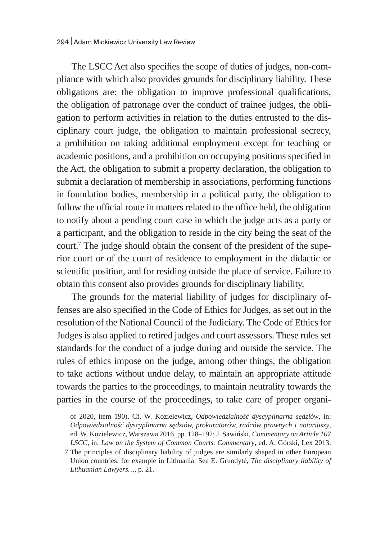The LSCC Act also specifies the scope of duties of judges, non-compliance with which also provides grounds for disciplinary liability. These obligations are: the obligation to improve professional qualifications, the obligation of patronage over the conduct of trainee judges, the obligation to perform activities in relation to the duties entrusted to the disciplinary court judge, the obligation to maintain professional secrecy, a prohibition on taking additional employment except for teaching or academic positions, and a prohibition on occupying positions specified in the Act, the obligation to submit a property declaration, the obligation to submit a declaration of membership in associations, performing functions in foundation bodies, membership in a political party, the obligation to follow the official route in matters related to the office held, the obligation to notify about a pending court case in which the judge acts as a party or a participant, and the obligation to reside in the city being the seat of the court.7 The judge should obtain the consent of the president of the superior court or of the court of residence to employment in the didactic or scientific position, and for residing outside the place of service. Failure to obtain this consent also provides grounds for disciplinary liability.

The grounds for the material liability of judges for disciplinary offenses are also specified in the Code of Ethics for Judges, as set out in the resolution of the National Council of the Judiciary. The Code of Ethics for Judges is also applied to retired judges and court assessors. These rules set standards for the conduct of a judge during and outside the service. The rules of ethics impose on the judge, among other things, the obligation to take actions without undue delay, to maintain an appropriate attitude towards the parties to the proceedings, to maintain neutrality towards the parties in the course of the proceedings, to take care of proper organi-

of 2020, item 190). Cf. W. Kozielewicz, *Odpowiedzialność dyscyplinarna sędziów*, in: *Odpowiedzialność dyscyplinarna sędziów, prokuratorów, radców prawnych i notariuszy*, ed. W. Kozielewicz, Warszawa 2016, pp. 128–192; J. Sawiński, *Commentary on Article 107 LSCC*, in: *Law on the System of Common Courts. Commentary*, ed. A. Górski, Lex 2013.

<sup>7</sup> The principles of disciplinary liability of judges are similarly shaped in other European Union countries, for example in Lithuania. See E. Gruodytè, *The disciplinary liability of Lithuanian Lawyers…*, p. 21.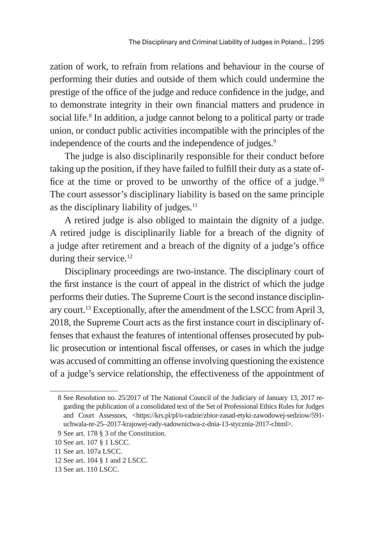zation of work, to refrain from relations and behaviour in the course of performing their duties and outside of them which could undermine the prestige of the office of the judge and reduce confidence in the judge, and to demonstrate integrity in their own financial matters and prudence in social life.<sup>8</sup> In addition, a judge cannot belong to a political party or trade union, or conduct public activities incompatible with the principles of the independence of the courts and the independence of judges.<sup>9</sup>

The judge is also disciplinarily responsible for their conduct before taking up the position, if they have failed to fulfill their duty as a state office at the time or proved to be unworthy of the office of a judge. $10$ The court assessor's disciplinary liability is based on the same principle as the disciplinary liability of judges.<sup>11</sup>

A retired judge is also obliged to maintain the dignity of a judge. A retired judge is disciplinarily liable for a breach of the dignity of a judge after retirement and a breach of the dignity of a judge's office during their service.<sup>12</sup>

Disciplinary proceedings are two-instance. The disciplinary court of the first instance is the court of appeal in the district of which the judge performs their duties. The Supreme Court is the second instance disciplinary court.13 Exceptionally, after the amendment of the LSCC from April 3, 2018, the Supreme Court acts as the first instance court in disciplinary offenses that exhaust the features of intentional offenses prosecuted by public prosecution or intentional fiscal offenses, or cases in which the judge was accused of committing an offense involving questioning the existence of a judge's service relationship, the effectiveness of the appointment of

<sup>8</sup> See Resolution no. 25/2017 of The National Council of the Judiciary of January 13, 2017 regarding the publication of a consolidated text of the Set of Professional Ethics Rules for Judges and Court Assessors, <https://krs.pl/pl/o-radzie/zbior-zasad-etyki-zawodowej-sedziow/591uchwala-nr-25–2017-krajowej-rady-sadownictwa-z-dnia-13-stycznia-2017-r.html>.

<sup>9</sup> See art. 178 § 3 of the Constitution.

<sup>10</sup> See art. 107 § 1 LSCC.

<sup>11</sup> See art. 107a LSCC.

<sup>12</sup> See art. 104 § 1 and 2 LSCC.

<sup>13</sup> See art. 110 LSCC.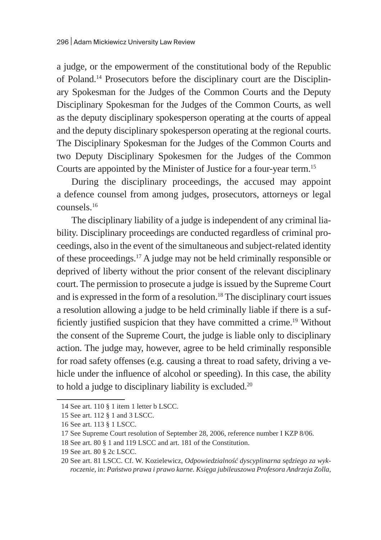a judge, or the empowerment of the constitutional body of the Republic of Poland.14 Prosecutors before the disciplinary court are the Disciplinary Spokesman for the Judges of the Common Courts and the Deputy Disciplinary Spokesman for the Judges of the Common Courts, as well as the deputy disciplinary spokesperson operating at the courts of appeal and the deputy disciplinary spokesperson operating at the regional courts. The Disciplinary Spokesman for the Judges of the Common Courts and two Deputy Disciplinary Spokesmen for the Judges of the Common Courts are appointed by the Minister of Justice for a four-year term.15

During the disciplinary proceedings, the accused may appoint a defence counsel from among judges, prosecutors, attorneys or legal counsels.16

The disciplinary liability of a judge is independent of any criminal liability. Disciplinary proceedings are conducted regardless of criminal proceedings, also in the event of the simultaneous and subject-related identity of these proceedings.17 A judge may not be held criminally responsible or deprived of liberty without the prior consent of the relevant disciplinary court. The permission to prosecute a judge is issued by the Supreme Court and is expressed in the form of a resolution.<sup>18</sup> The disciplinary court issues a resolution allowing a judge to be held criminally liable if there is a sufficiently justified suspicion that they have committed a crime.19 Without the consent of the Supreme Court, the judge is liable only to disciplinary action. The judge may, however, agree to be held criminally responsible for road safety offenses (e.g. causing a threat to road safety, driving a vehicle under the influence of alcohol or speeding). In this case, the ability to hold a judge to disciplinary liability is excluded.<sup>20</sup>

<sup>14</sup> See art. 110 § 1 item 1 letter b LSCC.

<sup>15</sup> See art. 112 § 1 and 3 LSCC.

<sup>16</sup> See art. 113 § 1 LSCC.

<sup>17</sup> See Supreme Court resolution of September 28, 2006, reference number I KZP 8/06.

<sup>18</sup> See art. 80 § 1 and 119 LSCC and art. 181 of the Constitution.

<sup>19</sup> See art. 80 § 2c LSCC.

<sup>20</sup> See art. 81 LSCC. Cf. W. Kozielewicz, *Odpowiedzialność dyscyplinarna sędziego za wykroczenie*, in: *Państwo prawa i prawo karne. Księga jubileuszowa Profesora Andrzeja Zolla*,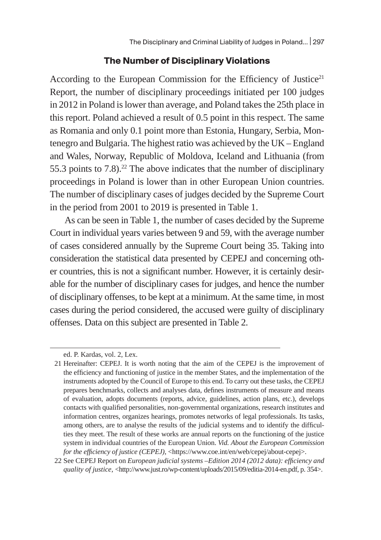#### **The Number of Disciplinary Violations**

According to the European Commission for the Efficiency of Justice<sup>21</sup> Report, the number of disciplinary proceedings initiated per 100 judges in 2012 in Poland is lower than average, and Poland takes the 25th place in this report. Poland achieved a result of 0.5 point in this respect. The same as Romania and only 0.1 point more than Estonia, Hungary, Serbia, Montenegro and Bulgaria. The highest ratio was achieved by the UK – England and Wales, Norway, Republic of Moldova, Iceland and Lithuania (from 55.3 points to  $7.8$ ).<sup>22</sup> The above indicates that the number of disciplinary proceedings in Poland is lower than in other European Union countries. The number of disciplinary cases of judges decided by the Supreme Court in the period from 2001 to 2019 is presented in Table 1.

As can be seen in Table 1, the number of cases decided by the Supreme Court in individual years varies between 9 and 59, with the average number of cases considered annually by the Supreme Court being 35. Taking into consideration the statistical data presented by CEPEJ and concerning other countries, this is not a significant number. However, it is certainly desirable for the number of disciplinary cases for judges, and hence the number of disciplinary offenses, to be kept at a minimum. At the same time, in most cases during the period considered, the accused were guilty of disciplinary offenses. Data on this subject are presented in Table 2.

ed. P. Kardas, vol. 2, Lex.

<sup>21</sup> Hereinafter: CEPEJ. It is worth noting that the aim of the CEPEJ is the improvement of the efficiency and functioning of justice in the member States, and the implementation of the instruments adopted by the Council of Europe to this end. To carry out these tasks, the CEPEJ prepares benchmarks, collects and analyses data, defines instruments of measure and means of evaluation, adopts documents (reports, advice, guidelines, action plans, etc.), develops contacts with qualified personalities, non-governmental organizations, research institutes and information centres, organizes hearings, promotes networks of legal professionals. Its tasks, among others, are to analyse the results of the judicial systems and to identify the difficulties they meet. The result of these works are annual reports on the functioning of the justice system in individual countries of the European Union. *Vid. About the European Commission for the efficiency of justice (CEPEJ)*, <https://www.coe.int/en/web/cepej/about-cepej>.

<sup>22</sup> See CEPEJ Report on *European judicial systems –Edition 2014 (2012 data): efficiency and quality of justice*, <http://www.just.ro/wp-content/uploads/2015/09/editia-2014-en.pdf, p. 354>.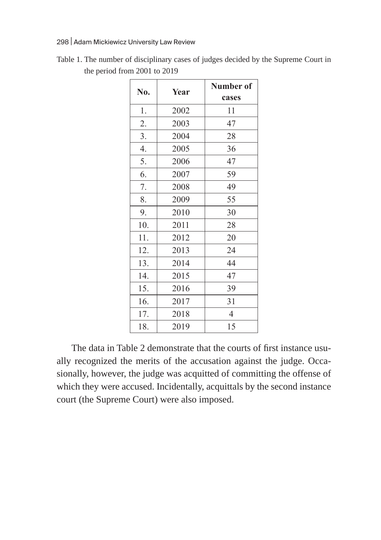#### 298 | Adam Mickiewicz University Law Review

| No. | Year | Number of<br>cases |
|-----|------|--------------------|
| 1.  | 2002 | 11                 |
| 2.  | 2003 | 47                 |
| 3.  | 2004 | 28                 |
| 4.  | 2005 | 36                 |
| 5.  | 2006 | 47                 |
| 6.  | 2007 | 59                 |
| 7.  | 2008 | 49                 |
| 8.  | 2009 | 55                 |
| 9.  | 2010 | 30                 |
| 10. | 2011 | 28                 |
| 11. | 2012 | 20                 |
| 12. | 2013 | 24                 |
| 13. | 2014 | 44                 |
| 14. | 2015 | 47                 |
| 15. | 2016 | 39                 |
| 16. | 2017 | 31                 |
| 17. | 2018 | $\overline{4}$     |
| 18. | 2019 | 15                 |

Table 1. The number of disciplinary cases of judges decided by the Supreme Court in the period from 2001 to 2019

The data in Table 2 demonstrate that the courts of first instance usually recognized the merits of the accusation against the judge. Occasionally, however, the judge was acquitted of committing the offense of which they were accused. Incidentally, acquittals by the second instance court (the Supreme Court) were also imposed.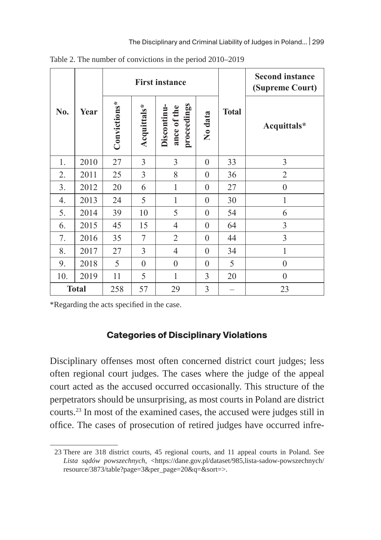|     |              |              |                | <b>First instance</b>                     |          | <b>Second instance</b><br>(Supreme Court) |                  |
|-----|--------------|--------------|----------------|-------------------------------------------|----------|-------------------------------------------|------------------|
| No. | Year         | Convictions* | Acquittals*    | proceedings<br>Discontinu-<br>ance of the | No data  | <b>Total</b>                              | Acquittals*      |
| 1.  | 2010         | 27           | 3              | 3                                         | $\theta$ | 33                                        | 3                |
| 2.  | 2011         | 25           | 3              | 8                                         | $\theta$ | 36                                        | $\overline{2}$   |
| 3.  | 2012         | 20           | 6              | $\mathbf{1}$                              | $\theta$ | 27                                        | $\boldsymbol{0}$ |
| 4.  | 2013         | 24           | 5              | 1                                         | $\theta$ | 30                                        | 1                |
| 5.  | 2014         | 39           | 10             | 5                                         | $\theta$ | 54                                        | 6                |
| 6.  | 2015         | 45           | 15             | $\overline{4}$                            | $\theta$ | 64                                        | 3                |
| 7.  | 2016         | 35           | 7              | $\overline{2}$                            | $\theta$ | 44                                        | 3                |
| 8.  | 2017         | 27           | 3              | $\overline{4}$                            | $\theta$ | 34                                        | $\mathbf{1}$     |
| 9.  | 2018         | 5            | $\overline{0}$ | $\boldsymbol{0}$                          | $\theta$ | 5                                         | $\boldsymbol{0}$ |
| 10. | 2019         | 11           | 5              | 1                                         | 3        | 20                                        | $\boldsymbol{0}$ |
|     | <b>Total</b> | 258          | 57             | 29                                        | 3        |                                           | 23               |

Table 2. The number of convictions in the period 2010–2019

\*Regarding the acts specified in the case.

#### **Categories of Disciplinary Violations**

Disciplinary offenses most often concerned district court judges; less often regional court judges. The cases where the judge of the appeal court acted as the accused occurred occasionally. This structure of the perpetrators should be unsurprising, as most courts in Poland are district courts.23 In most of the examined cases, the accused were judges still in office. The cases of prosecution of retired judges have occurred infre-

<sup>23</sup> There are 318 district courts, 45 regional courts, and 11 appeal courts in Poland. See Lista sądów powszechnych, <https://dane.gov.pl/dataset/985,lista-sadow-powszechnych/ resource/3873/table?page=3&per\_page=20&q=&sort=>.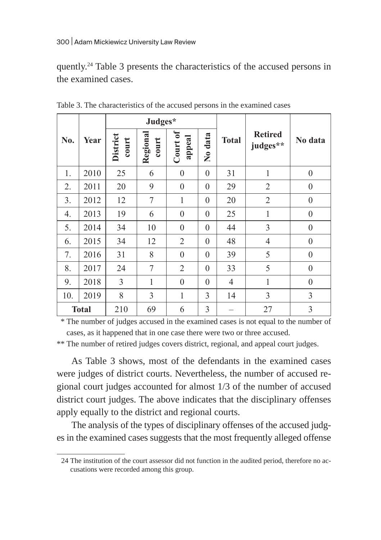quently.24 Table 3 presents the characteristics of the accused persons in the examined cases.

|              |             |                   | Judges*           |                    |                  |                |                            |                  |  |
|--------------|-------------|-------------------|-------------------|--------------------|------------------|----------------|----------------------------|------------------|--|
| No.          | <b>Year</b> | District<br>court | Regional<br>court | Court of<br>appeal | No data          | <b>Total</b>   | <b>Retired</b><br>judges** | No data          |  |
| 1.           | 2010        | 25                | 6                 | $\mathbf{0}$       | $\boldsymbol{0}$ | 31             | 1                          | $\boldsymbol{0}$ |  |
| 2.           | 2011        | 20                | 9                 | $\mathbf{0}$       | $\theta$         | 29             | $\overline{2}$             | $\mathbf{0}$     |  |
| 3.           | 2012        | 12                | $\tau$            | 1                  | $\boldsymbol{0}$ | 20             | $\overline{2}$             | $\boldsymbol{0}$ |  |
| 4.           | 2013        | 19                | 6                 | $\boldsymbol{0}$   | $\theta$         | 25             | $\mathbf{1}$               | $\boldsymbol{0}$ |  |
| 5.           | 2014        | 34                | 10                | $\mathbf{0}$       | $\theta$         | 44             | 3                          | $\theta$         |  |
| 6.           | 2015        | 34                | 12                | $\overline{2}$     | $\theta$         | 48             | $\overline{4}$             | $\mathbf{0}$     |  |
| 7.           | 2016        | 31                | 8                 | $\mathbf{0}$       | $\theta$         | 39             | 5                          | $\overline{0}$   |  |
| 8.           | 2017        | 24                | 7                 | $\overline{2}$     | $\theta$         | 33             | 5                          | $\boldsymbol{0}$ |  |
| 9.           | 2018        | 3                 | $\mathbf{1}$      | $\mathbf{0}$       | $\theta$         | $\overline{4}$ | $\mathbf{1}$               | $\overline{0}$   |  |
| 10.          | 2019        | 8                 | 3                 | 1                  | $\overline{3}$   | 14             | 3                          | 3                |  |
| <b>Total</b> |             | 210               | 69                | 6                  | 3                |                | 27                         | $\overline{3}$   |  |

Table 3. The characteristics of the accused persons in the examined cases

 \* The number of judges accused in the examined cases is not equal to the number of cases, as it happened that in one case there were two or three accused.

\*\* The number of retired judges covers district, regional, and appeal court judges.

As Table 3 shows, most of the defendants in the examined cases were judges of district courts. Nevertheless, the number of accused regional court judges accounted for almost 1/3 of the number of accused district court judges. The above indicates that the disciplinary offenses apply equally to the district and regional courts.

The analysis of the types of disciplinary offenses of the accused judges in the examined cases suggests that the most frequently alleged offense

<sup>24</sup> The institution of the court assessor did not function in the audited period, therefore no accusations were recorded among this group.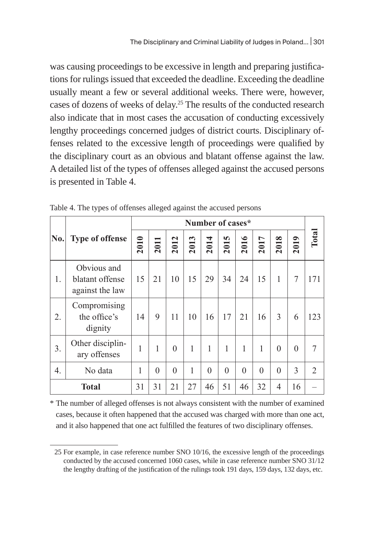was causing proceedings to be excessive in length and preparing justifications for rulings issued that exceeded the deadline. Exceeding the deadline usually meant a few or several additional weeks. There were, however, cases of dozens of weeks of delay.25 The results of the conducted research also indicate that in most cases the accusation of conducting excessively lengthy proceedings concerned judges of district courts. Disciplinary offenses related to the excessive length of proceedings were qualified by the disciplinary court as an obvious and blatant offense against the law. A detailed list of the types of offenses alleged against the accused persons is presented in Table 4.

|            |                                                   | Number of cases* |          |          |      |          |          |                  |              |          |          |       |
|------------|---------------------------------------------------|------------------|----------|----------|------|----------|----------|------------------|--------------|----------|----------|-------|
| $\bf{No.}$ | <b>Type of offense</b>                            | 2010             | 2011     | 2012     | 2013 | ਚ<br>201 | m<br>201 | $\bullet$<br>201 | 2017         | ∞<br>201 | 2019     | Total |
| 1.         | Obvious and<br>blatant offense<br>against the law | 15               | 21       | 10       | 15   | 29       | 34       | 24               | 15           | 1        | 7        | 171   |
| 2.         | Compromising<br>the office's<br>dignity           | 14               | 9        | 11       | 10   | 16       | 17       | 21               | 16           | 3        | 6        | 123   |
| 3.         | Other disciplin-<br>ary offenses                  | 1                | 1        | $\theta$ | 1    | 1        | 1        | 1                | $\mathbf{1}$ | $\Omega$ | $\theta$ | 7     |
| 4.         | No data                                           | 1                | $\theta$ | $\theta$ | 1    | $\theta$ | $\theta$ | $\Omega$         | $\theta$     | $\Omega$ | 3        | 2     |
|            | <b>Total</b>                                      | 31               | 31       | 21       | 27   | 46       | 51       | 46               | 32           | 4        | 16       |       |

|  |  | Table 4. The types of offenses alleged against the accused persons |  |
|--|--|--------------------------------------------------------------------|--|
|  |  |                                                                    |  |

\* The number of alleged offenses is not always consistent with the number of examined cases, because it often happened that the accused was charged with more than one act, and it also happened that one act fulfilled the features of two disciplinary offenses.

<sup>25</sup> For example, in case reference number SNO 10/16, the excessive length of the proceedings conducted by the accused concerned 1060 cases, while in case reference number SNO 31/12 the lengthy drafting of the justification of the rulings took 191 days, 159 days, 132 days, etc.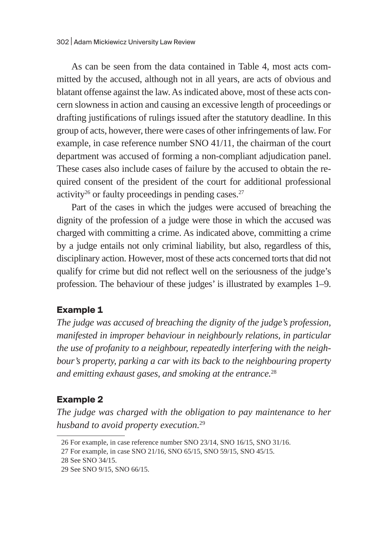As can be seen from the data contained in Table 4, most acts committed by the accused, although not in all years, are acts of obvious and blatant offense against the law. As indicated above, most of these acts concern slowness in action and causing an excessive length of proceedings or drafting justifications of rulings issued after the statutory deadline. In this group of acts, however, there were cases of other infringements of law. For example, in case reference number SNO 41/11, the chairman of the court department was accused of forming a non-compliant adjudication panel. These cases also include cases of failure by the accused to obtain the required consent of the president of the court for additional professional activity<sup>26</sup> or faulty proceedings in pending cases.<sup>27</sup>

Part of the cases in which the judges were accused of breaching the dignity of the profession of a judge were those in which the accused was charged with committing a crime. As indicated above, committing a crime by a judge entails not only criminal liability, but also, regardless of this, disciplinary action. However, most of these acts concerned torts that did not qualify for crime but did not reflect well on the seriousness of the judge's profession. The behaviour of these judges' is illustrated by examples 1–9.

### **Example 1**

*The judge was accused of breaching the dignity of the judge's profession, manifested in improper behaviour in neighbourly relations, in particular the use of profanity to a neighbour, repeatedly interfering with the neighbour's property, parking a car with its back to the neighbouring property and emitting exhaust gases, and smoking at the entrance.*<sup>28</sup>

## **Example 2**

*The judge was charged with the obligation to pay maintenance to her husband to avoid property execution.*<sup>29</sup>

<sup>26</sup> For example, in case reference number SNO 23/14, SNO 16/15, SNO 31/16.

<sup>27</sup> For example, in case SNO 21/16, SNO 65/15, SNO 59/15, SNO 45/15.

<sup>28</sup> See SNO 34/15.

<sup>29</sup> See SNO 9/15, SNO 66/15.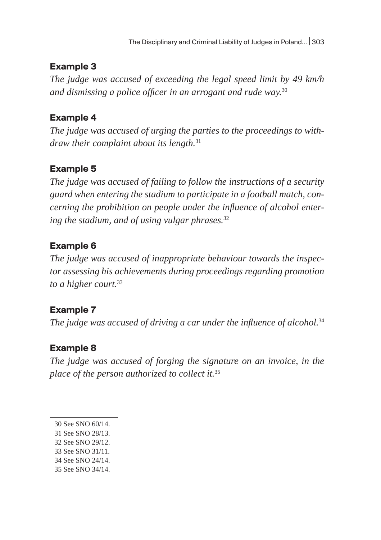## **Example 3**

*The judge was accused of exceeding the legal speed limit by 49 km/h and dismissing a police officer in an arrogant and rude way.*<sup>30</sup>

## **Example 4**

*The judge was accused of urging the parties to the proceedings to withdraw their complaint about its length.*<sup>31</sup>

## **Example 5**

*The judge was accused of failing to follow the instructions of a security guard when entering the stadium to participate in a football match, concerning the prohibition on people under the influence of alcohol entering the stadium, and of using vulgar phrases.*<sup>32</sup>

## **Example 6**

*The judge was accused of inappropriate behaviour towards the inspector assessing his achievements during proceedings regarding promotion to a higher court.*<sup>33</sup>

## **Example 7**

*The judge was accused of driving a car under the influence of alcohol.*<sup>34</sup>

## **Example 8**

*The judge was accused of forging the signature on an invoice, in the place of the person authorized to collect it.*<sup>35</sup>

- 31 See SNO 28/13.
- 32 See SNO 29/12.
- 33 See SNO 31/11.
- 34 See SNO 24/14.
- 35 See SNO 34/14.

<sup>30</sup> See SNO 60/14.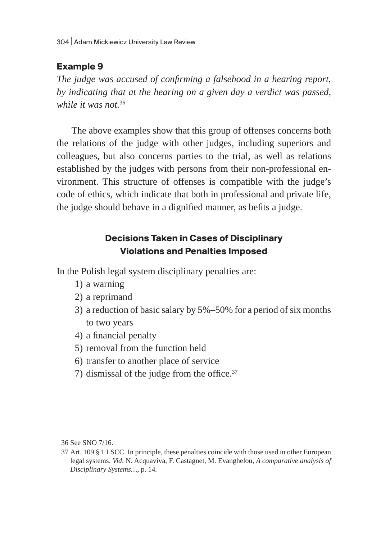## **Example 9**

*The judge was accused of confirming a falsehood in a hearing report, by indicating that at the hearing on a given day a verdict was passed, while it was not.*<sup>36</sup>

The above examples show that this group of offenses concerns both the relations of the judge with other judges, including superiors and colleagues, but also concerns parties to the trial, as well as relations established by the judges with persons from their non-professional environment. This structure of offenses is compatible with the judge's code of ethics, which indicate that both in professional and private life, the judge should behave in a dignified manner, as befits a judge.

# **Decisions Taken in Cases of Disciplinary Violations and Penalties Imposed**

In the Polish legal system disciplinary penalties are:

- 1) a warning
- 2) a reprimand
- 3) a reduction of basic salary by 5%–50% for a period of six months to two years
- 4) a financial penalty
- 5) removal from the function held
- 6) transfer to another place of service
- 7) dismissal of the judge from the office.<sup>37</sup>

<sup>36</sup> See SNO 7/16.

<sup>37</sup> Art. 109 § 1 LSCC. In principle, these penalties coincide with those used in other European legal systems. *Vid*. N. Acquaviva, F. Castagnet, M. Evanghelou, *A comparative analysis of Disciplinary Systems…*, p. 14*.*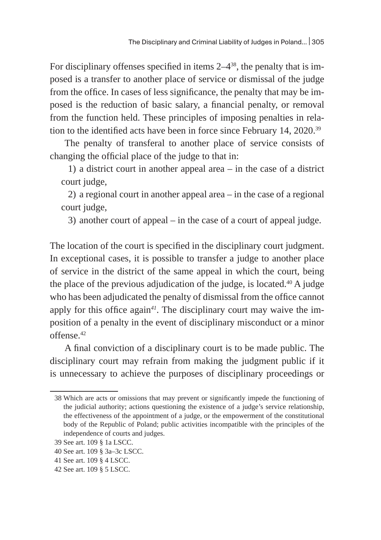For disciplinary offenses specified in items  $2-4^{38}$ , the penalty that is imposed is a transfer to another place of service or dismissal of the judge from the office. In cases of less significance, the penalty that may be imposed is the reduction of basic salary, a financial penalty, or removal from the function held. These principles of imposing penalties in relation to the identified acts have been in force since February 14, 2020.<sup>39</sup>

The penalty of transferal to another place of service consists of changing the official place of the judge to that in:

1) a district court in another appeal area – in the case of a district court judge,

2) a regional court in another appeal area – in the case of a regional court judge,

3) another court of appeal – in the case of a court of appeal judge.

The location of the court is specified in the disciplinary court judgment. In exceptional cases, it is possible to transfer a judge to another place of service in the district of the same appeal in which the court, being the place of the previous adjudication of the judge, is located. $40$  A judge who has been adjudicated the penalty of dismissal from the office cannot apply for this office again*41*. The disciplinary court may waive the imposition of a penalty in the event of disciplinary misconduct or a minor offense.42

A final conviction of a disciplinary court is to be made public. The disciplinary court may refrain from making the judgment public if it is unnecessary to achieve the purposes of disciplinary proceedings or

<sup>38</sup> Which are acts or omissions that may prevent or significantly impede the functioning of the judicial authority; actions questioning the existence of a judge's service relationship, the effectiveness of the appointment of a judge, or the empowerment of the constitutional body of the Republic of Poland; public activities incompatible with the principles of the independence of courts and judges.

<sup>39</sup> See art. 109 § 1a LSCC.

<sup>40</sup> See art. 109 § 3a–3c LSCC.

<sup>41</sup> See art. 109 § 4 LSCC.

<sup>42</sup> See art. 109 § 5 LSCC.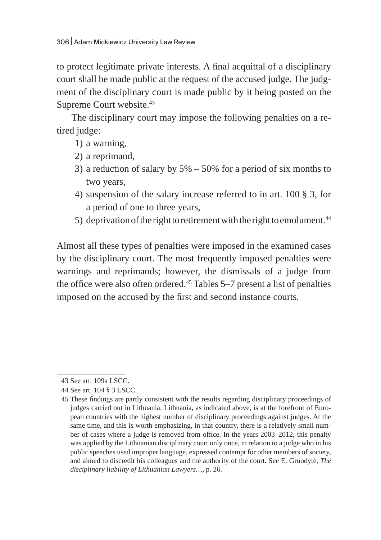to protect legitimate private interests. A final acquittal of a disciplinary court shall be made public at the request of the accused judge. The judgment of the disciplinary court is made public by it being posted on the Supreme Court website.<sup>43</sup>

The disciplinary court may impose the following penalties on a retired judge:

- 1) a warning,
- 2) a reprimand,
- 3) a reduction of salary by 5% 50% for a period of six months to two years,
- 4) suspension of the salary increase referred to in art. 100 § 3, for a period of one to three years,
- 5) deprivation of the right to retirement with the right to emolument.<sup>44</sup>

Almost all these types of penalties were imposed in the examined cases by the disciplinary court. The most frequently imposed penalties were warnings and reprimands; however, the dismissals of a judge from the office were also often ordered.<sup>45</sup> Tables 5–7 present a list of penalties imposed on the accused by the first and second instance courts.

<sup>43</sup> See art. 109a LSCC.

<sup>44</sup> See art. 104 § 3 LSCC.

<sup>45</sup> These findings are partly consistent with the results regarding disciplinary proceedings of judges carried out in Lithuania. Lithuania, as indicated above, is at the forefront of European countries with the highest number of disciplinary proceedings against judges. At the same time, and this is worth emphasizing, in that country, there is a relatively small number of cases where a judge is removed from office. In the years 2003–2012, this penalty was applied by the Lithuanian disciplinary court only once, in relation to a judge who in his public speeches used improper language, expressed contempt for other members of society, and aimed to discredit his colleagues and the authority of the court. See E. Gruodytè, *The disciplinary liability of Lithuanian Lawyers…*, p. 26.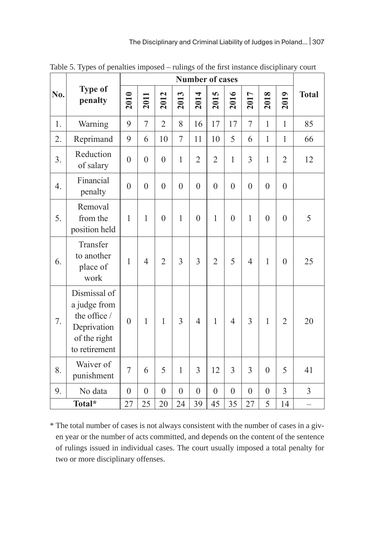|     |                                                                                              |                | <b>Number of cases</b> |                |                |                |                |                |                |                |                |                |  |
|-----|----------------------------------------------------------------------------------------------|----------------|------------------------|----------------|----------------|----------------|----------------|----------------|----------------|----------------|----------------|----------------|--|
| No. | <b>Type of</b><br>penalty                                                                    | 2010           | 2011                   | 2012           | 2013           | 2014           | 2015           | 2016           | 2017           | 2018           | 2019           | <b>Total</b>   |  |
| 1.  | Warning                                                                                      | 9              | $\overline{7}$         | $\overline{2}$ | 8              | 16             | 17             | 17             | $\overline{7}$ | $\mathbf{1}$   | $\mathbf{1}$   | 85             |  |
| 2.  | Reprimand                                                                                    | 9              | 6                      | 10             | 7              | 11             | 10             | 5              | 6              | $\mathbf{1}$   | $\mathbf{1}$   | 66             |  |
| 3.  | Reduction<br>of salary                                                                       | $\overline{0}$ | $\mathbf{0}$           | $\theta$       | 1              | $\overline{2}$ | $\overline{2}$ | $\mathbf{1}$   | 3              | $\mathbf{1}$   | $\overline{2}$ | 12             |  |
| 4.  | Financial<br>penalty                                                                         | $\overline{0}$ | $\boldsymbol{0}$       | $\overline{0}$ | $\overline{0}$ | $\overline{0}$ | $\overline{0}$ | $\overline{0}$ | $\overline{0}$ | $\overline{0}$ | $\overline{0}$ |                |  |
| 5.  | Removal<br>from the<br>position held                                                         | 1              | $\mathbf{1}$           | $\overline{0}$ | $\mathbf{1}$   | $\overline{0}$ | $\mathbf{1}$   | $\overline{0}$ | $\mathbf{1}$   | $\overline{0}$ | $\overline{0}$ | 5              |  |
| 6.  | Transfer<br>to another<br>place of<br>work                                                   | $\mathbf{1}$   | $\overline{4}$         | $\overline{2}$ | $\overline{3}$ | 3              | $\overline{2}$ | 5              | $\overline{4}$ | 1              | $\overline{0}$ | 25             |  |
| 7.  | Dismissal of<br>a judge from<br>the office /<br>Deprivation<br>of the right<br>to retirement | $\theta$       | $\mathbf{1}$           | 1              | 3              | $\overline{4}$ | $\mathbf{1}$   | $\overline{4}$ | $\overline{3}$ | $\mathbf{1}$   | $\overline{2}$ | 20             |  |
| 8.  | Waiver of<br>punishment                                                                      | $\overline{7}$ | 6                      | 5              | 1              | 3              | 12             | 3              | 3              | $\theta$       | 5              | 41             |  |
| 9.  | No data                                                                                      | $\mathbf{0}$   | $\boldsymbol{0}$       | $\theta$       | $\overline{0}$ | $\overline{0}$ | $\mathbf{0}$   | $\mathbf{0}$   | $\overline{0}$ | $\overline{0}$ | $\overline{3}$ | $\overline{3}$ |  |
|     | Total*                                                                                       | 27             | 25                     | 20             | 24             | 39             | 45             | 35             | 27             | 5              | 14             |                |  |

Table 5. Types of penalties imposed – rulings of the first instance disciplinary court

\* The total number of cases is not always consistent with the number of cases in a given year or the number of acts committed, and depends on the content of the sentence of rulings issued in individual cases. The court usually imposed a total penalty for two or more disciplinary offenses.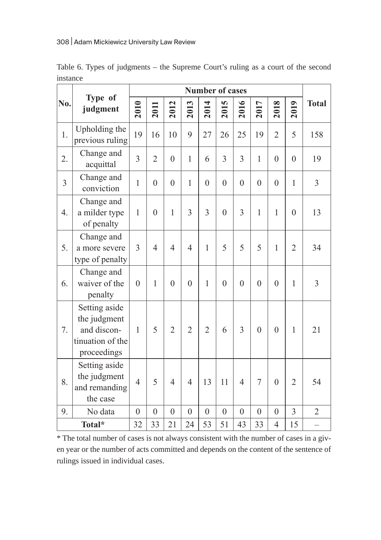|                  | Type of                                                                         | <b>Number of cases</b> |                  |                |                  |                  |                  |                  |                |                  |                |                          |
|------------------|---------------------------------------------------------------------------------|------------------------|------------------|----------------|------------------|------------------|------------------|------------------|----------------|------------------|----------------|--------------------------|
| No.              | judgment                                                                        | 2010                   | 2011             | 2012           | 2013             | 2014             | 5<br>2013        | 2016             | 2017           | 2018             | 2019           | <b>Total</b>             |
| 1.               | Upholding the<br>previous ruling                                                | 19                     | 16               | 10             | 9                | 27               | 26               | 25               | 19             | $\overline{2}$   | 5              | 158                      |
| $\overline{2}$ . | Change and<br>acquittal                                                         | $\overline{3}$         | $\overline{2}$   | $\overline{0}$ | $\mathbf{1}$     | 6                | $\overline{3}$   | $\overline{3}$   | $\mathbf{1}$   | $\overline{0}$   | $\overline{0}$ | 19                       |
| $\overline{3}$   | Change and<br>conviction                                                        | $\mathbf{1}$           | $\mathbf{0}$     | $\overline{0}$ | $\mathbf{1}$     | $\theta$         | $\theta$         | $\overline{0}$   | $\theta$       | $\overline{0}$   | $\mathbf{1}$   | $\overline{3}$           |
| 4.               | Change and<br>a milder type<br>of penalty                                       | $\mathbf{1}$           | $\theta$         | $\mathbf{1}$   | $\overline{3}$   | $\overline{3}$   | $\overline{0}$   | 3                | 1              | $\mathbf{1}$     | $\overline{0}$ | 13                       |
| 5.               | Change and<br>a more severe<br>type of penalty                                  | $\overline{3}$         | $\overline{4}$   | $\overline{4}$ | $\overline{4}$   | $\mathbf{1}$     | 5                | 5                | 5              | $\mathbf{1}$     | $\overline{2}$ | 34                       |
| 6.               | Change and<br>waiver of the<br>penalty                                          | $\mathbf{0}$           | 1                | $\overline{0}$ | $\overline{0}$   | $\mathbf{1}$     | $\overline{0}$   | $\overline{0}$   | $\overline{0}$ | $\overline{0}$   | $\mathbf{1}$   | 3                        |
| 7.               | Setting aside<br>the judgment<br>and discon-<br>tinuation of the<br>proceedings | $\mathbf{1}$           | 5                | $\overline{2}$ | $\overline{2}$   | $\overline{2}$   | 6                | 3                | $\overline{0}$ | $\overline{0}$   | $\mathbf{1}$   | 21                       |
| 8.               | Setting aside<br>the judgment<br>and remanding<br>the case                      | $\overline{4}$         | 5                | $\overline{4}$ | $\overline{4}$   | 13               | 11               | 4                | 7              | $\boldsymbol{0}$ | $\overline{2}$ | 54                       |
| 9.               | No data                                                                         | $\boldsymbol{0}$       | $\boldsymbol{0}$ | $\overline{0}$ | $\boldsymbol{0}$ | $\boldsymbol{0}$ | $\boldsymbol{0}$ | $\boldsymbol{0}$ | $\overline{0}$ | $\boldsymbol{0}$ | 3              | $\overline{2}$           |
|                  | Total*                                                                          | 32                     | 33               | 21             | 24               | 53               | 51               | 43               | 33             | 4                | 15             | $\overline{\phantom{0}}$ |

Table 6. Types of judgments – the Supreme Court's ruling as a court of the second instance

\* The total number of cases is not always consistent with the number of cases in a given year or the number of acts committed and depends on the content of the sentence of rulings issued in individual cases.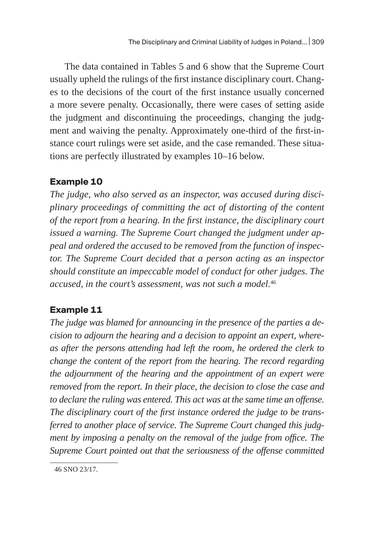The data contained in Tables 5 and 6 show that the Supreme Court usually upheld the rulings of the first instance disciplinary court. Changes to the decisions of the court of the first instance usually concerned a more severe penalty. Occasionally, there were cases of setting aside the judgment and discontinuing the proceedings, changing the judgment and waiving the penalty. Approximately one-third of the first-instance court rulings were set aside, and the case remanded. These situations are perfectly illustrated by examples 10–16 below.

## **Example 10**

*The judge, who also served as an inspector, was accused during disciplinary proceedings of committing the act of distorting of the content of the report from a hearing. In the first instance, the disciplinary court issued a warning. The Supreme Court changed the judgment under appeal and ordered the accused to be removed from the function of inspector. The Supreme Court decided that a person acting as an inspector should constitute an impeccable model of conduct for other judges. The accused, in the court's assessment, was not such a model.*<sup>46</sup>

## **Example 11**

*The judge was blamed for announcing in the presence of the parties a decision to adjourn the hearing and a decision to appoint an expert, whereas after the persons attending had left the room, he ordered the clerk to change the content of the report from the hearing. The record regarding the adjournment of the hearing and the appointment of an expert were removed from the report. In their place, the decision to close the case and to declare the ruling was entered. This act was at the same time an offense. The disciplinary court of the first instance ordered the judge to be transferred to another place of service. The Supreme Court changed this judgment by imposing a penalty on the removal of the judge from office. The Supreme Court pointed out that the seriousness of the offense committed* 

<sup>46</sup> SNO 23/17.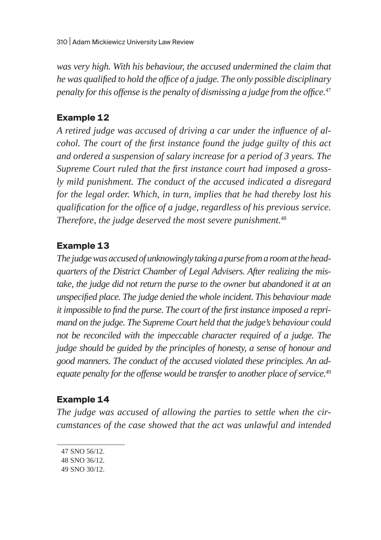*was very high. With his behaviour, the accused undermined the claim that he was qualified to hold the office of a judge. The only possible disciplinary penalty for this offense is the penalty of dismissing a judge from the office.*<sup>47</sup>

### **Example 12**

*A retired judge was accused of driving a car under the influence of alcohol. The court of the first instance found the judge guilty of this act and ordered a suspension of salary increase for a period of 3 years. The Supreme Court ruled that the first instance court had imposed a grossly mild punishment. The conduct of the accused indicated a disregard for the legal order. Which, in turn, implies that he had thereby lost his qualification for the office of a judge, regardless of his previous service. Therefore, the judge deserved the most severe punishment.*<sup>48</sup>

### **Example 13**

The judge was accused of unknowingly taking a purse from a room at the head*quarters of the District Chamber of Legal Advisers. After realizing the mistake, the judge did not return the purse to the owner but abandoned it at an unspecified place. The judge denied the whole incident. This behaviour made it impossible to find the purse. The court of the first instance imposed a reprimand on the judge. The Supreme Court held that the judge's behaviour could not be reconciled with the impeccable character required of a judge. The judge should be guided by the principles of honesty, a sense of honour and good manners. The conduct of the accused violated these principles. An adequate penalty for the offense would be transfer to another place of service.*<sup>49</sup>

### **Example 14**

*The judge was accused of allowing the parties to settle when the circumstances of the case showed that the act was unlawful and intended* 

<sup>47</sup> SNO 56/12.

<sup>48</sup> SNO 36/12.

<sup>49</sup> SNO 30/12.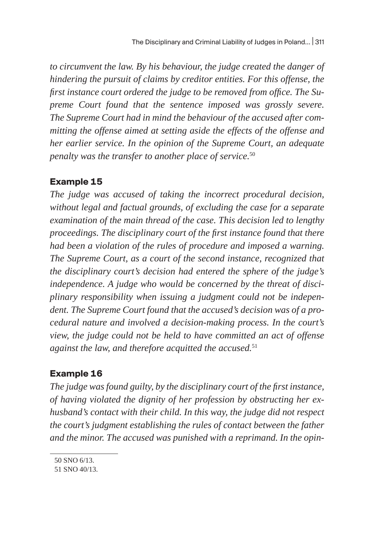*to circumvent the law. By his behaviour, the judge created the danger of hindering the pursuit of claims by creditor entities. For this offense, the first instance court ordered the judge to be removed from office. The Supreme Court found that the sentence imposed was grossly severe. The Supreme Court had in mind the behaviour of the accused after committing the offense aimed at setting aside the effects of the offense and her earlier service. In the opinion of the Supreme Court, an adequate penalty was the transfer to another place of service.*<sup>50</sup>

## **Example 15**

*The judge was accused of taking the incorrect procedural decision, without legal and factual grounds, of excluding the case for a separate examination of the main thread of the case. This decision led to lengthy proceedings. The disciplinary court of the first instance found that there had been a violation of the rules of procedure and imposed a warning. The Supreme Court, as a court of the second instance, recognized that the disciplinary court's decision had entered the sphere of the judge's independence. A judge who would be concerned by the threat of disciplinary responsibility when issuing a judgment could not be independent. The Supreme Court found that the accused's decision was of a procedural nature and involved a decision-making process. In the court's view, the judge could not be held to have committed an act of offense against the law, and therefore acquitted the accused.*<sup>51</sup>

## **Example 16**

*The judge was found guilty, by the disciplinary court of the first instance, of having violated the dignity of her profession by obstructing her exhusband's contact with their child. In this way, the judge did not respect the court's judgment establishing the rules of contact between the father and the minor. The accused was punished with a reprimand. In the opin-*

<sup>50</sup> SNO 6/13.

<sup>51</sup> SNO 40/13.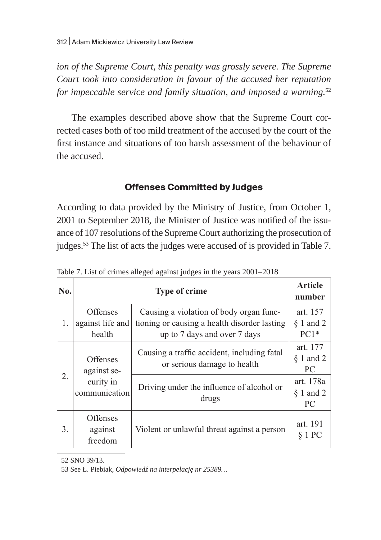*ion of the Supreme Court, this penalty was grossly severe. The Supreme Court took into consideration in favour of the accused her reputation for impeccable service and family situation, and imposed a warning.*<sup>52</sup>

The examples described above show that the Supreme Court corrected cases both of too mild treatment of the accused by the court of the first instance and situations of too harsh assessment of the behaviour of the accused.

### **Offenses Committed by Judges**

According to data provided by the Ministry of Justice, from October 1, 2001 to September 2018, the Minister of Justice was notified of the issuance of 107 resolutions of the Supreme Court authorizing the prosecution of judges.<sup>53</sup> The list of acts the judges were accused of is provided in Table 7.

| No. |                                                              | <b>Type of crime</b>                                                                                                    |                                   |  |  |  |
|-----|--------------------------------------------------------------|-------------------------------------------------------------------------------------------------------------------------|-----------------------------------|--|--|--|
| 1.  | Offenses<br>against life and<br>health                       | Causing a violation of body organ func-<br>tioning or causing a health disorder lasting<br>up to 7 days and over 7 days | art. 157<br>$§ 1$ and 2<br>$PC1*$ |  |  |  |
| 2.  | <b>Offenses</b><br>against se-<br>curity in<br>communication | Causing a traffic accident, including fatal<br>or serious damage to health                                              | art. 177<br>$§ 1$ and 2<br>PC     |  |  |  |
|     |                                                              | Driving under the influence of alcohol or<br>drugs                                                                      | art. 178a<br>$§ 1$ and 2<br>PC    |  |  |  |
| 3.  | Offenses<br>against<br>freedom                               | Violent or unlawful threat against a person                                                                             | art. 191<br>§ 1 PC                |  |  |  |

Table 7. List of crimes alleged against judges in the years 2001–2018

52 SNO 39/13.

53 See Ł. Piebiak, *Odpowiedź na interpelację nr 25389…*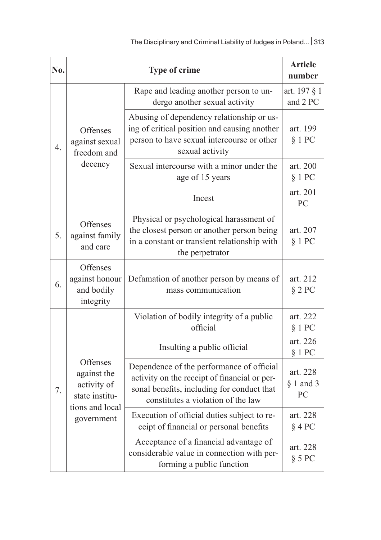| No. |                                                          | Type of crime                                                                                                                                                                 |                               |  |  |  |  |  |
|-----|----------------------------------------------------------|-------------------------------------------------------------------------------------------------------------------------------------------------------------------------------|-------------------------------|--|--|--|--|--|
|     |                                                          | Rape and leading another person to un-<br>dergo another sexual activity                                                                                                       | art. 197 § 1<br>and 2 PC      |  |  |  |  |  |
| 4.  | Offenses<br>against sexual<br>freedom and                | Abusing of dependency relationship or us-<br>ing of critical position and causing another<br>person to have sexual intercourse or other<br>sexual activity                    | art. 199<br>§ 1 PC            |  |  |  |  |  |
|     | decency                                                  | Sexual intercourse with a minor under the<br>age of 15 years                                                                                                                  | art. 200<br>§ 1 PC            |  |  |  |  |  |
|     |                                                          | Incest                                                                                                                                                                        | art. 201<br>PC                |  |  |  |  |  |
| 5.  | Offenses<br>against family<br>and care                   | Physical or psychological harassment of<br>the closest person or another person being<br>in a constant or transient relationship with<br>the perpetrator                      | art. 207<br>§ 1 PC            |  |  |  |  |  |
| 6.  | Offenses<br>against honour<br>and bodily<br>integrity    | Defamation of another person by means of<br>mass communication                                                                                                                | art. 212<br>§ 2 PC            |  |  |  |  |  |
|     |                                                          | Violation of bodily integrity of a public<br>official                                                                                                                         | art. 222<br>§ 1 PC            |  |  |  |  |  |
|     |                                                          | Insulting a public official                                                                                                                                                   | art. 226<br>§ 1 PC            |  |  |  |  |  |
| 7.  | Offenses<br>against the<br>activity of<br>state institu- | Dependence of the performance of official<br>activity on the receipt of financial or per-<br>sonal benefits, including for conduct that<br>constitutes a violation of the law | art. 228<br>$§$ 1 and 3<br>PC |  |  |  |  |  |
|     | tions and local<br>government                            | Execution of official duties subject to re-<br>ceipt of financial or personal benefits                                                                                        | art. 228<br>$§$ 4 PC          |  |  |  |  |  |
|     |                                                          | Acceptance of a financial advantage of<br>considerable value in connection with per-<br>forming a public function                                                             | art. 228<br>§ 5 PC            |  |  |  |  |  |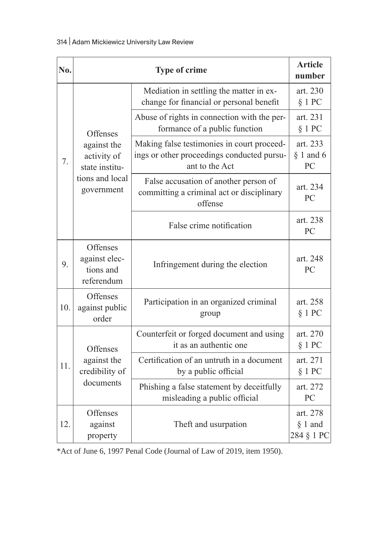| No. |                                                      | <b>Type of crime</b>                                                                                       |                                     |  |  |
|-----|------------------------------------------------------|------------------------------------------------------------------------------------------------------------|-------------------------------------|--|--|
|     |                                                      | Mediation in settling the matter in ex-<br>change for financial or personal benefit                        | art. 230<br>§ 1 PC                  |  |  |
|     | Offenses                                             | Abuse of rights in connection with the per-<br>formance of a public function                               | art. 231<br>§ 1 PC                  |  |  |
| 7.  | against the<br>activity of<br>state institu-         | Making false testimonies in court proceed-<br>ings or other proceedings conducted pursu-<br>ant to the Act |                                     |  |  |
|     | tions and local<br>government                        | False accusation of another person of<br>committing a criminal act or disciplinary<br>offense              | art. 234<br>PC                      |  |  |
|     |                                                      | False crime notification                                                                                   |                                     |  |  |
| 9.  | Offenses<br>against elec-<br>tions and<br>referendum | Infringement during the election                                                                           | art. 248<br>PC                      |  |  |
| 10. | Offenses<br>against public<br>order                  | Participation in an organized criminal<br>group                                                            | art. 258<br>§ 1 PC                  |  |  |
|     | Offenses                                             | Counterfeit or forged document and using<br>it as an authentic one                                         | art. 270<br>§ 1 PC                  |  |  |
| 11. | against the<br>credibility of                        | Certification of an untruth in a document<br>by a public official                                          | art. 271<br>§ 1 PC                  |  |  |
|     | documents                                            | Phishing a false statement by deceitfully<br>misleading a public official                                  |                                     |  |  |
| 12. | Offenses<br>against<br>property                      | Theft and usurpation                                                                                       | art. 278<br>$§ 1$ and<br>284 § 1 PC |  |  |

\*Act of June 6, 1997 Penal Code (Journal of Law of 2019, item 1950).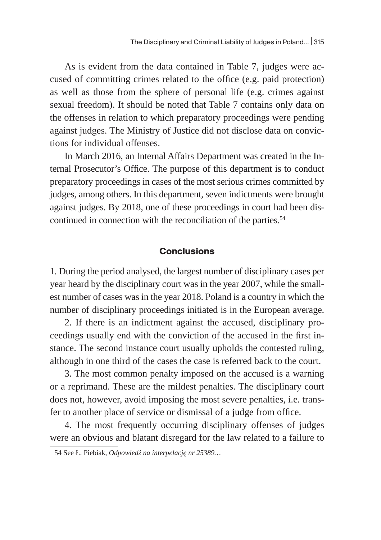As is evident from the data contained in Table 7, judges were accused of committing crimes related to the office (e.g. paid protection) as well as those from the sphere of personal life (e.g. crimes against sexual freedom). It should be noted that Table 7 contains only data on the offenses in relation to which preparatory proceedings were pending against judges. The Ministry of Justice did not disclose data on convictions for individual offenses.

In March 2016, an Internal Affairs Department was created in the Internal Prosecutor's Office. The purpose of this department is to conduct preparatory proceedings in cases of the most serious crimes committed by judges, among others. In this department, seven indictments were brought against judges. By 2018, one of these proceedings in court had been discontinued in connection with the reconciliation of the parties.<sup>54</sup>

#### **Conclusions**

1. During the period analysed, the largest number of disciplinary cases per year heard by the disciplinary court was in the year 2007, while the smallest number of cases was in the year 2018. Poland is a country in which the number of disciplinary proceedings initiated is in the European average.

2. If there is an indictment against the accused, disciplinary proceedings usually end with the conviction of the accused in the first instance. The second instance court usually upholds the contested ruling, although in one third of the cases the case is referred back to the court.

3. The most common penalty imposed on the accused is a warning or a reprimand. These are the mildest penalties. The disciplinary court does not, however, avoid imposing the most severe penalties, i.e. transfer to another place of service or dismissal of a judge from office.

4. The most frequently occurring disciplinary offenses of judges were an obvious and blatant disregard for the law related to a failure to

<sup>54</sup> See Ł. Piebiak, *Odpowiedź na interpelację nr 25389…*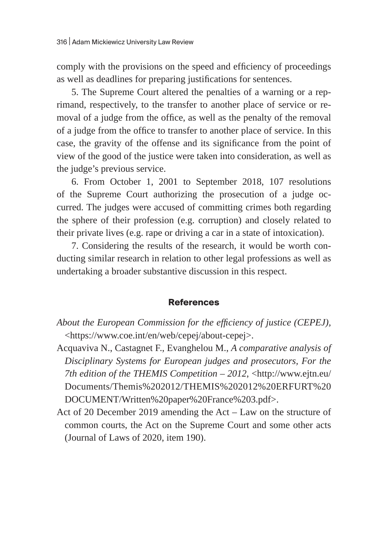comply with the provisions on the speed and efficiency of proceedings as well as deadlines for preparing justifications for sentences.

5. The Supreme Court altered the penalties of a warning or a reprimand, respectively, to the transfer to another place of service or removal of a judge from the office, as well as the penalty of the removal of a judge from the office to transfer to another place of service. In this case, the gravity of the offense and its significance from the point of view of the good of the justice were taken into consideration, as well as the judge's previous service.

6. From October 1, 2001 to September 2018, 107 resolutions of the Supreme Court authorizing the prosecution of a judge occurred. The judges were accused of committing crimes both regarding the sphere of their profession (e.g. corruption) and closely related to their private lives (e.g. rape or driving a car in a state of intoxication).

7. Considering the results of the research, it would be worth conducting similar research in relation to other legal professions as well as undertaking a broader substantive discussion in this respect.

### **References**

- *About the European Commission for the efficiency of justice (CEPEJ),*  <https://www.coe.int/en/web/cepej/about-cepej>.
- Acquaviva N., Castagnet F., Evanghelou M., *A comparative analysis of Disciplinary Systems for European judges and prosecutors, For the 7th edition of the THEMIS Competition – 2012*, <http://www.ejtn.eu/ Documents/Themis%202012/THEMIS%202012%20ERFURT%20 DOCUMENT/Written%20paper%20France%203.pdf>.
- Act of 20 December 2019 amending the Act Law on the structure of common courts, the Act on the Supreme Court and some other acts (Journal of Laws of 2020, item 190).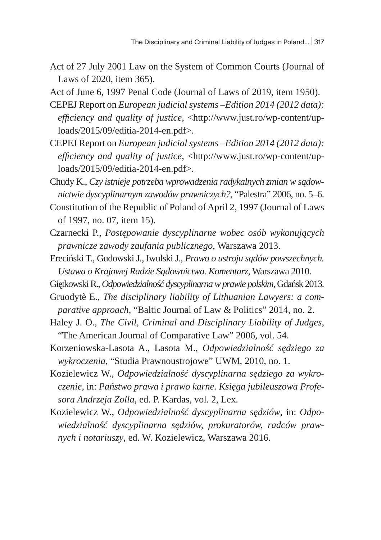Act of 27 July 2001 Law on the System of Common Courts (Journal of Laws of 2020, item 365).

Act of June 6, 1997 Penal Code (Journal of Laws of 2019, item 1950).

- CEPEJ Report on *European judicial systems –Edition 2014 (2012 data): efficiency and quality of justice*, <http://www.just.ro/wp-content/uploads/2015/09/editia-2014-en.pdf>.
- CEPEJ Report on *European judicial systems –Edition 2014 (2012 data): efficiency and quality of justice*, <http://www.just.ro/wp-content/uploads/2015/09/editia-2014-en.pdf>.

Chudy K., *Czy istnieje potrzeba wprowadzenia radykalnych zmian w sądownictwie dyscyplinarnym zawodów prawniczych?*, "Palestra" 2006, no. 5–6.

- Constitution of the Republic of Poland of April 2, 1997 (Journal of Laws of 1997, no. 07, item 15).
- Czarnecki P., *Postępowanie dyscyplinarne wobec osób wykonujących prawnicze zawody zaufania publicznego*, Warszawa 2013.
- Ereciński T., Gudowski J., Iwulski J., *Prawo o ustroju sądów powszechnych. Ustawa o Krajowej Radzie Sądownictwa. Komentarz*, Warszawa 2010.
- Giętkowski R., *Odpowiedzialność dyscyplinarna wprawie polskim*, Gdańsk 2013.
- Gruodytè E., *The disciplinary liability of Lithuanian Lawyers: a comparative approach*, "Baltic Journal of Law & Politics" 2014, no. 2.
- Haley J. O., *The Civil, Criminal and Disciplinary Liability of Judges*, "The American Journal of Comparative Law" 2006, vol. 54.
- Korzeniowska-Lasota A., Lasota M., *Odpowiedzialność sędziego za wykroczenia*, "Studia Prawnoustrojowe" UWM, 2010, no. 1.
- Kozielewicz W., *Odpowiedzialność dyscyplinarna sędziego za wykroczenie*, in: *Państwo prawa i prawo karne. Księga jubileuszowa Profesora Andrzeja Zolla*, ed. P. Kardas, vol. 2, Lex.
- Kozielewicz W., *Odpowiedzialność dyscyplinarna sędziów*, in: *Odpowiedzialność dyscyplinarna sędziów, prokuratorów, radców prawnych i notariuszy*, ed. W. Kozielewicz, Warszawa 2016.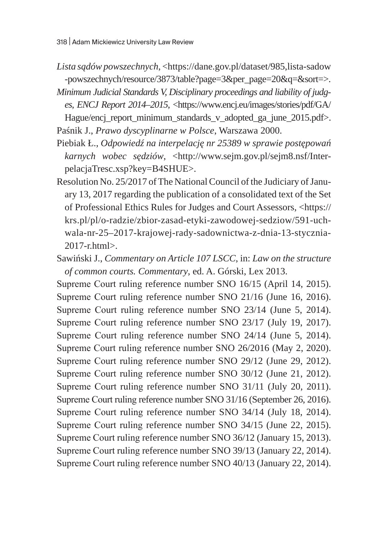- Lista sądów powszechnych, <https://dane.gov.pl/dataset/985,lista-sadow -powszechnych/resource/3873/table?page=3&per\_page=20&q=&sort=>.
- *Minimum Judicial Standards V, Disciplinary proceedings and liability of judges*, *ENCJ Report 2014–2015*, <https://www.encj.eu/images/stories/pdf/GA/ Hague/encj\_report\_minimum\_standards\_v\_adopted\_ga\_june\_2015.pdf>. Paśnik J., *Prawo dyscyplinarne w Polsce*, Warszawa 2000.
- Piebiak Ł., *Odpowiedź na interpelację nr 25389 w sprawie postępowań karnych wobec sędziów*, <http://www.sejm.gov.pl/sejm8.nsf/InterpelacjaTresc.xsp?key=B4SHUE>.
- Resolution No. 25/2017 of The National Council of the Judiciary of January 13, 2017 regarding the publication of a consolidated text of the Set of Professional Ethics Rules for Judges and Court Assessors, <https:// krs.pl/pl/o-radzie/zbior-zasad-etyki-zawodowej-sedziow/591-uchwala-nr-25–2017-krajowej-rady-sadownictwa-z-dnia-13-stycznia-2017-r.html>.
- Sawiński J., *Commentary on Article 107 LSCC*, in: *Law on the structure of common courts. Commentary*, ed. A. Górski, Lex 2013.

Supreme Court ruling reference number SNO 16/15 (April 14, 2015). Supreme Court ruling reference number SNO 21/16 (June 16, 2016). Supreme Court ruling reference number SNO 23/14 (June 5, 2014). Supreme Court ruling reference number SNO 23/17 (July 19, 2017). Supreme Court ruling reference number SNO 24/14 (June 5, 2014). Supreme Court ruling reference number SNO 26/2016 (May 2, 2020). Supreme Court ruling reference number SNO 29/12 (June 29, 2012). Supreme Court ruling reference number SNO 30/12 (June 21, 2012). Supreme Court ruling reference number SNO 31/11 (July 20, 2011). Supreme Court ruling reference number SNO 31/16 (September 26, 2016). Supreme Court ruling reference number SNO 34/14 (July 18, 2014). Supreme Court ruling reference number SNO 34/15 (June 22, 2015). Supreme Court ruling reference number SNO 36/12 (January 15, 2013). Supreme Court ruling reference number SNO 39/13 (January 22, 2014). Supreme Court ruling reference number SNO 40/13 (January 22, 2014).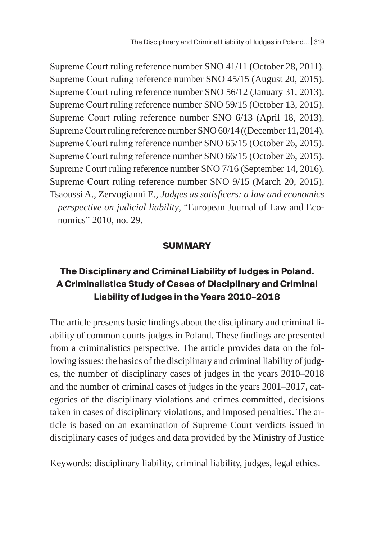Supreme Court ruling reference number SNO 41/11 (October 28, 2011). Supreme Court ruling reference number SNO 45/15 (August 20, 2015). Supreme Court ruling reference number SNO 56/12 (January 31, 2013). Supreme Court ruling reference number SNO 59/15 (October 13, 2015). Supreme Court ruling reference number SNO 6/13 (April 18, 2013). Supreme Court ruling reference number SNO 60/14 ((December 11, 2014). Supreme Court ruling reference number SNO 65/15 (October 26, 2015). Supreme Court ruling reference number SNO 66/15 (October 26, 2015). Supreme Court ruling reference number SNO 7/16 (September 14, 2016). Supreme Court ruling reference number SNO 9/15 (March 20, 2015). Tsaoussi A., Zervogianni E., *Judges as satisficers: a law and economics perspective on judicial liability*, "European Journal of Law and Economics" 2010, no. 29.

#### **SUMMARY**

# **The Disciplinary and Criminal Liability of Judges in Poland. A Criminalistics Study of Cases of Disciplinary and Criminal Liability of Judges in the Years 2010–2018**

The article presents basic findings about the disciplinary and criminal liability of common courts judges in Poland. These findings are presented from a criminalistics perspective. The article provides data on the following issues: the basics of the disciplinary and criminal liability of judges, the number of disciplinary cases of judges in the years 2010–2018 and the number of criminal cases of judges in the years 2001–2017, categories of the disciplinary violations and crimes committed, decisions taken in cases of disciplinary violations, and imposed penalties. The article is based on an examination of Supreme Court verdicts issued in disciplinary cases of judges and data provided by the Ministry of Justice

Keywords: disciplinary liability, criminal liability, judges, legal ethics.